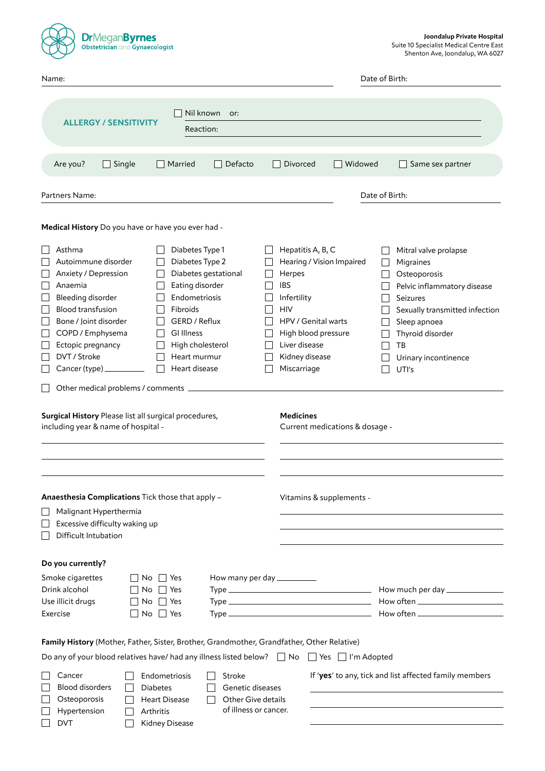| <b>DrMeganByrnes</b><br>Obstetrician and Gynaecologist                                                                                                                                                                                                                                                                                                                                                                                                                      | Joondalup Private Hospital<br>Suite 10 Specialist Medical Centre East<br>Shenton Ave, Joondalup, WA 6027                                                                                                                                                                                                                                                                                                          |  |  |  |  |  |  |
|-----------------------------------------------------------------------------------------------------------------------------------------------------------------------------------------------------------------------------------------------------------------------------------------------------------------------------------------------------------------------------------------------------------------------------------------------------------------------------|-------------------------------------------------------------------------------------------------------------------------------------------------------------------------------------------------------------------------------------------------------------------------------------------------------------------------------------------------------------------------------------------------------------------|--|--|--|--|--|--|
| Name:                                                                                                                                                                                                                                                                                                                                                                                                                                                                       | Date of Birth:                                                                                                                                                                                                                                                                                                                                                                                                    |  |  |  |  |  |  |
| Nil known<br>or:<br><b>ALLERGY / SENSITIVITY</b><br>Reaction:                                                                                                                                                                                                                                                                                                                                                                                                               |                                                                                                                                                                                                                                                                                                                                                                                                                   |  |  |  |  |  |  |
| Defacto<br>Are you?<br>$\Box$ Single<br>Married<br>$\mathbf{L}$                                                                                                                                                                                                                                                                                                                                                                                                             | Widowed<br>Divorced<br>Same sex partner                                                                                                                                                                                                                                                                                                                                                                           |  |  |  |  |  |  |
| Partners Name:                                                                                                                                                                                                                                                                                                                                                                                                                                                              | Date of Birth:                                                                                                                                                                                                                                                                                                                                                                                                    |  |  |  |  |  |  |
| Medical History Do you have or have you ever had -                                                                                                                                                                                                                                                                                                                                                                                                                          |                                                                                                                                                                                                                                                                                                                                                                                                                   |  |  |  |  |  |  |
| Asthma<br>Diabetes Type 1<br>Autoimmune disorder<br>Diabetes Type 2<br>Diabetes gestational<br>Anxiety / Depression<br>Eating disorder<br>Anaemia<br>Endometriosis<br>Bleeding disorder<br><b>Blood transfusion</b><br>Fibroids<br>GERD / Reflux<br>Bone / Joint disorder<br>COPD / Emphysema<br><b>GI Illness</b><br>Ectopic pregnancy<br>High cholesterol<br>DVT / Stroke<br>Heart murmur<br>Heart disease<br>Cancer (type) ______<br>Other medical problems / comments _ | Hepatitis A, B, C<br>Mitral valve prolapse<br>Hearing / Vision Impaired<br>Migraines<br>Herpes<br>Osteoporosis<br><b>IBS</b><br>Pelvic inflammatory disease<br>Infertility<br>Seizures<br><b>HIV</b><br>Sexually transmitted infection<br>HPV / Genital warts<br>Sleep apnoea<br>High blood pressure<br>Thyroid disorder<br>Liver disease<br>TB<br>Kidney disease<br>Urinary incontinence<br>Miscarriage<br>UTI's |  |  |  |  |  |  |
| Surgical History Please list all surgical procedures,<br>including year & name of hospital -                                                                                                                                                                                                                                                                                                                                                                                | <b>Medicines</b><br>Current medications & dosage -                                                                                                                                                                                                                                                                                                                                                                |  |  |  |  |  |  |
| Anaesthesia Complications Tick those that apply -<br>Vitamins & supplements -<br>Malignant Hyperthermia<br>Excessive difficulty waking up<br>Difficult Intubation                                                                                                                                                                                                                                                                                                           |                                                                                                                                                                                                                                                                                                                                                                                                                   |  |  |  |  |  |  |
| Do you currently?<br>Smoke cigarettes<br>How many per day __________<br>  No   Yes<br>Drink alcohol<br>Yes<br>No l<br>Use illicit drugs<br>No II<br>Yes<br>Exercise<br>$No$ $\Box$ Yes<br>$\perp$                                                                                                                                                                                                                                                                           |                                                                                                                                                                                                                                                                                                                                                                                                                   |  |  |  |  |  |  |
| Family History (Mother, Father, Sister, Brother, Grandmother, Grandfather, Other Relative)<br>Do any of your blood relatives have/ had any illness listed below? $\Box$ No $\Box$ Yes $\Box$ I'm Adopted                                                                                                                                                                                                                                                                    |                                                                                                                                                                                                                                                                                                                                                                                                                   |  |  |  |  |  |  |
| Cancer<br>Endometriosis<br>Stroke<br><b>Blood disorders</b><br><b>Diabetes</b><br>Genetic diseases<br>Osteoporosis<br>Other Give details<br><b>Heart Disease</b><br>of illness or cancer.<br>Hypertension<br>Arthritis<br><b>DVT</b><br>Kidney Disease                                                                                                                                                                                                                      | If 'yes' to any, tick and list affected family members                                                                                                                                                                                                                                                                                                                                                            |  |  |  |  |  |  |